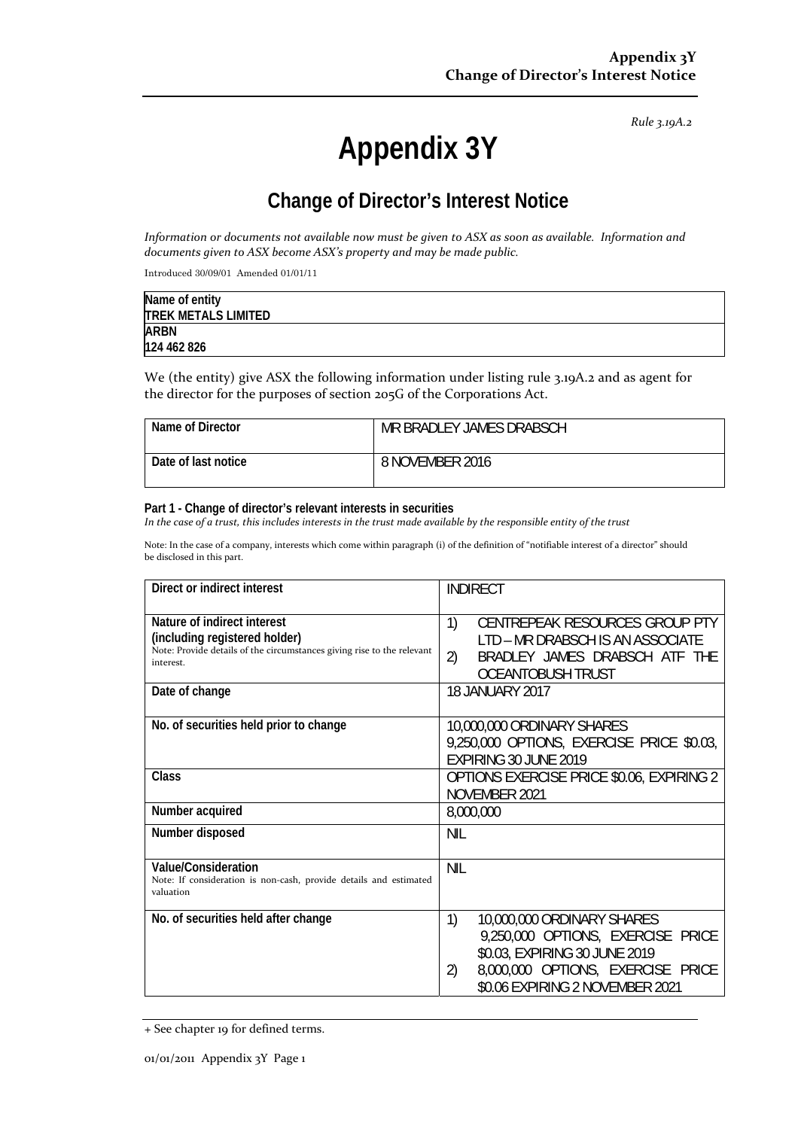*Rule 3.19A.2*

# **Appendix 3Y**

# **Change of Director's Interest Notice**

Information or documents not available now must be given to ASX as soon as available. Information and *documents given to ASX become ASX's property and may be made public.*

Introduced 30/09/01 Amended 01/01/11

| Name of entity             |  |
|----------------------------|--|
| <b>TREK METALS LIMITED</b> |  |
| <b>ARBN</b>                |  |
| 124 462 826                |  |

We (the entity) give ASX the following information under listing rule 3.19A.2 and as agent for the director for the purposes of section 205G of the Corporations Act.

| Name of Director    | MR BRADLEY JAMES DRABSCH |
|---------------------|--------------------------|
| Date of last notice | 8 NOVEMBER 2016          |

#### **Part 1 - Change of director's relevant interests in securities**

In the case of a trust, this includes interests in the trust made available by the responsible entity of the trust

Note: In the case of a company, interests which come within paragraph (i) of the definition of "notifiable interest of a director" should be disclosed in this part.

| Direct or indirect interest                                                                                                                         | <b>INDIRECT</b>                                                                                                                                                                      |
|-----------------------------------------------------------------------------------------------------------------------------------------------------|--------------------------------------------------------------------------------------------------------------------------------------------------------------------------------------|
| Nature of indirect interest<br>(including registered holder)<br>Note: Provide details of the circumstances giving rise to the relevant<br>interest. | 1)<br>CENTREPEAK RESOURCES GROUP PTY<br>LTD - MR DRABSCH IS AN ASSOCIATE<br>2)<br>BRADLEY JAMES DRABSCH ATF THE<br><b>OCEANTOBUSH TRUST</b>                                          |
| Date of change                                                                                                                                      | <b>18 JANUARY 2017</b>                                                                                                                                                               |
| No. of securities held prior to change                                                                                                              | 10,000,000 ORDINARY SHARES<br>9,250,000 OPTIONS, EXERCISE PRICE \$0.03,<br>EXPIRING 30 JUNE 2019                                                                                     |
| Class                                                                                                                                               | <b>OPTIONS EXERCISE PRICE \$0.06, EXPIRING 2</b><br>NOVEMBER 2021                                                                                                                    |
| Number acquired                                                                                                                                     | 8,000,000                                                                                                                                                                            |
| Number disposed                                                                                                                                     | NIL                                                                                                                                                                                  |
| Value/Consideration<br>Note: If consideration is non-cash, provide details and estimated<br>valuation                                               | <b>NIL</b>                                                                                                                                                                           |
| No. of securities held after change                                                                                                                 | 1)<br>10,000,000 ORDINARY SHARES<br>9,250,000 OPTIONS, EXERCISE PRICE<br>\$0.03, EXPIRING 30 JUNE 2019<br>8,000,000 OPTIONS, EXERCISE PRICE<br>2)<br>\$0.06 EXPIRING 2 NOVEMBER 2021 |

<sup>+</sup> See chapter 19 for defined terms.